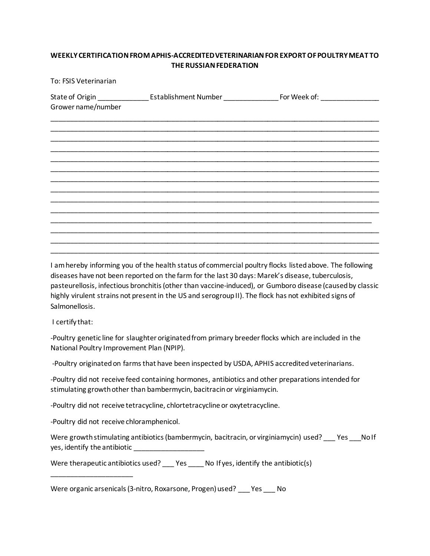## **WEEKLY CERTIFICATION FROM APHIS-ACCREDITED VETERINARIAN FOR EXPORT OF POULTRY MEAT TO THE RUSSIAN FEDERATION**

| To: FSIS Veterinarian |  |  |  |
|-----------------------|--|--|--|
| Grower name/number    |  |  |  |
|                       |  |  |  |
|                       |  |  |  |
|                       |  |  |  |
|                       |  |  |  |
|                       |  |  |  |
|                       |  |  |  |

I am hereby informing you of the health status of commercial poultry flocks listed above. The following diseases have not been reported on the farm for the last 30 days: Marek's disease, tuberculosis, pasteurellosis, infectious bronchitis (other than vaccine-induced), or Gumboro disease (caused by classic highly virulent strains not present in the US and serogroup II). The flock has not exhibited signs of Salmonellosis.

I certify that:

-Poultry genetic line for slaughter originated from primary breeder flocks which are included in the National Poultry Improvement Plan (NPIP).

-Poultry originated on farms that have been inspected by USDA, APHIS accredited veterinarians.

-Poultry did not receive feed containing hormones, antibiotics and other preparations intended for stimulating growth other than bambermycin, bacitracin or virginiamycin.

-Poultry did not receive tetracycline, chlortetracycline or oxytetracycline.

-Poultry did not receive chloramphenicol.

\_\_\_\_\_\_\_\_\_\_\_\_\_\_\_\_\_\_\_\_\_

Were growth stimulating antibiotics (bambermycin, bacitracin, or virginiamycin) used? Yes NoIf yes, identify the antibiotic \_\_\_\_\_\_\_\_\_\_\_\_\_\_\_\_\_\_\_\_\_

Were therapeutic antibiotics used? Yes No If yes, identify the antibiotic(s)

Were organic arsenicals (3-nitro, Roxarsone, Progen) used? Yes No